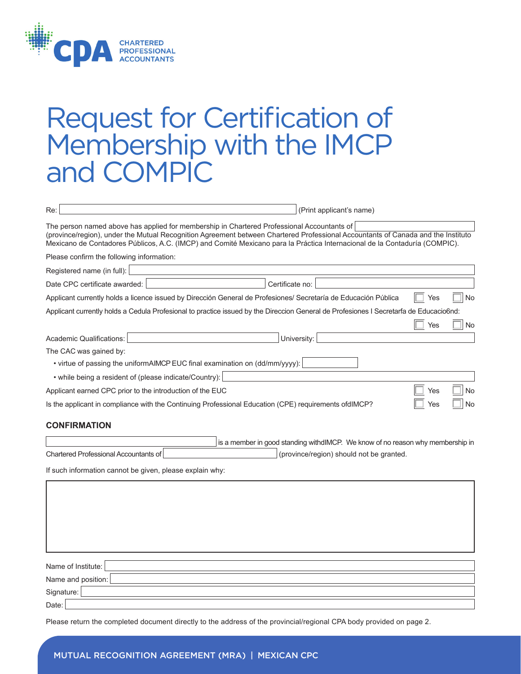

## Request for Certification of Membership with the IMCP and COMPIC

| (Print applicant's name)<br>Re:                                                                                                                                                                                                                                                                                                                              |
|--------------------------------------------------------------------------------------------------------------------------------------------------------------------------------------------------------------------------------------------------------------------------------------------------------------------------------------------------------------|
| The person named above has applied for membership in Chartered Professional Accountants of<br>(province/region), under the Mutual Recognition Agreement between Chartered Professional Accountants of Canada and the Instituto<br>Mexicano de Contadores Públicos, A.C. (IMCP) and Comité Mexicano para la Práctica Internacional de la Contaduría (COMPIC). |
| Please confirm the following information:                                                                                                                                                                                                                                                                                                                    |
| Registered name (in full):                                                                                                                                                                                                                                                                                                                                   |
| Date CPC certificate awarded:<br>Certificate no:                                                                                                                                                                                                                                                                                                             |
| Applicant currently holds a licence issued by Dirección General de Profesiones/ Secretaría de Educación Pública<br>No<br>Yes                                                                                                                                                                                                                                 |
| Applicant currently holds a Cedula Profesional to practice issued by the Direccion General de Profesiones I Secretarfa de Educacio6nd:<br>Yes<br>No                                                                                                                                                                                                          |
| Academic Qualifications:<br>University:                                                                                                                                                                                                                                                                                                                      |
| The CAC was gained by:                                                                                                                                                                                                                                                                                                                                       |
| • virtue of passing the uniformAIMCP EUC final examination on (dd/mm/yyyy):                                                                                                                                                                                                                                                                                  |
| • while being a resident of (please indicate/Country):                                                                                                                                                                                                                                                                                                       |
| Applicant earned CPC prior to the introduction of the EUC<br>Yes<br>No                                                                                                                                                                                                                                                                                       |
| Is the applicant in compliance with the Continuing Professional Education (CPE) requirements ofdIMCP?<br>No<br>Yes                                                                                                                                                                                                                                           |
| <b>CONFIRMATION</b>                                                                                                                                                                                                                                                                                                                                          |
| is a member in good standing withdIMCP. We know of no reason why membership in                                                                                                                                                                                                                                                                               |
| <b>Chartered Professional Accountants of</b><br>(province/region) should not be granted.                                                                                                                                                                                                                                                                     |
| If such information cannot be given, please explain why:                                                                                                                                                                                                                                                                                                     |
|                                                                                                                                                                                                                                                                                                                                                              |
|                                                                                                                                                                                                                                                                                                                                                              |
|                                                                                                                                                                                                                                                                                                                                                              |
|                                                                                                                                                                                                                                                                                                                                                              |
|                                                                                                                                                                                                                                                                                                                                                              |
|                                                                                                                                                                                                                                                                                                                                                              |
| Name of Institute:                                                                                                                                                                                                                                                                                                                                           |
| Name and position:                                                                                                                                                                                                                                                                                                                                           |
| Signature:                                                                                                                                                                                                                                                                                                                                                   |
| Date:                                                                                                                                                                                                                                                                                                                                                        |

Please return the completed document directly to the address of the provincial/regional CPA body provided on page 2.

## Mutual Recognition Agreement (MRA) | Mexican CPC